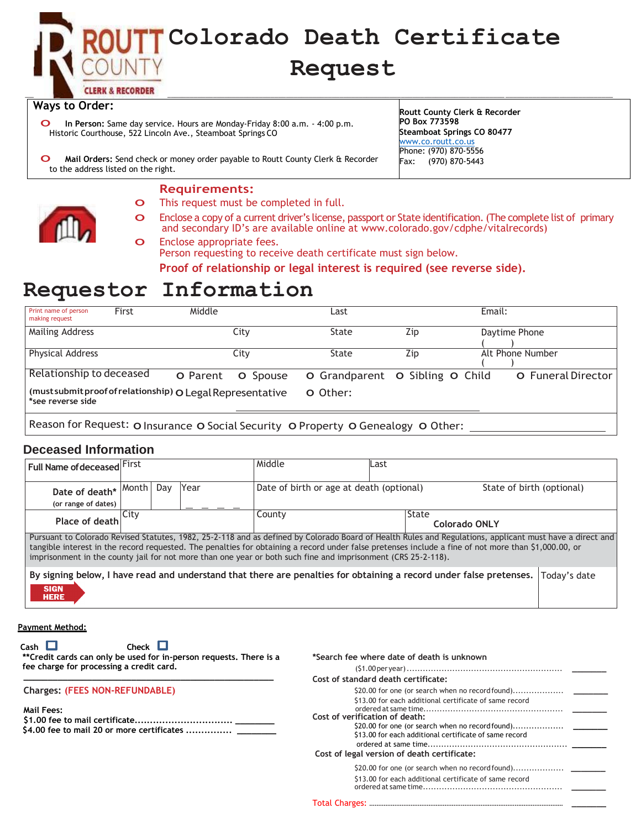

### **Ways to Order:**

o **In Person:** Same day service. Hours are Monday-Friday 8:00 a.m. - 4:00 p.m. Historic Courthouse, 522 Lincoln Ave., Steamboat Springs CO

**Routt County Clerk & Recorder PO Box 773598 Steamboat Springs CO 80477** [www.co.routt.co.us](http://www.co.routt.co.us/) Phone: (970) 870-5556 Fax: (970) 870-5443

o **Mail Orders:** Send check or money order payable to Routt County Clerk & Recorder to the address listed on the right.

#### **Requirements:**

- o This request must be completed in full.
- o Enclose a copy of a current driver's license, passport or State identification. (The complete list of primary and secondary ID's are available online at [www.colorado.gov/cdphe/vitalre](http://www.colorado.gov/cdphe/vitalrecords))cords)

o Enclose appropriate fees. Person requesting to receive death certificate must sign below. **Proof of relationship or legal interest is required (see reverse side).** 

# **Requestor Information**

| Print name of person<br>making request                                          | First | Middle   |          | ∟ast                            |     | Email: |                           |
|---------------------------------------------------------------------------------|-------|----------|----------|---------------------------------|-----|--------|---------------------------|
| Mailing Address                                                                 |       |          | City     | State                           | Zip |        | Daytime Phone             |
| <b>Physical Address</b>                                                         |       |          | Citv     | State                           | Zip |        | Alt Phone Number          |
| Relationship to deceased                                                        |       | O Parent | O Spouse | O Grandparent O Sibling O Child |     |        | <b>O</b> Funeral Director |
| (must submit proof of relationship) O Legal Representative<br>*see reverse side |       |          |          | O Other:                        |     |        |                           |
|                                                                                 |       |          |          |                                 |     |        |                           |

Reason for Request: O Insurance O Social Security O Property O Genealogy O Other:

### **Deceased Information**

| Full Name of deceased First                                                                                                                                                                                                                                                                                                                                                                                                       |      |     |      | Middle                                                                                                              | Last                          |  |  |              |
|-----------------------------------------------------------------------------------------------------------------------------------------------------------------------------------------------------------------------------------------------------------------------------------------------------------------------------------------------------------------------------------------------------------------------------------|------|-----|------|---------------------------------------------------------------------------------------------------------------------|-------------------------------|--|--|--------------|
| Date of death* Month<br>(or range of dates)                                                                                                                                                                                                                                                                                                                                                                                       |      | Dav | Year | Date of birth or age at death (optional)<br>State of birth (optional)                                               |                               |  |  |              |
| Place of death                                                                                                                                                                                                                                                                                                                                                                                                                    | City |     |      | County                                                                                                              | State<br><b>Colorado ONLY</b> |  |  |              |
| Pursuant to Colorado Revised Statutes, 1982, 25-2-118 and as defined by Colorado Board of Health Rules and Regulations, applicant must have a direct and<br>tangible interest in the record requested. The penalties for obtaining a record under false pretenses include a fine of not more than \$1,000.00, or<br>imprisonment in the county jail for not more than one year or both such fine and imprisonment (CRS 25-2-118). |      |     |      |                                                                                                                     |                               |  |  |              |
| <b>SIGN</b><br><b>HERE</b>                                                                                                                                                                                                                                                                                                                                                                                                        |      |     |      | By signing below, I have read and understand that there are penalties for obtaining a record under false pretenses. |                               |  |  | Today's date |

**Payment Method:**

**\*Search fee where date of death is unknown**

| $Cash \quad \Box$<br>Check $\Box$<br>**Credit cards can only be used for in-person requests. There is a<br>fee charge for processing a credit card. | Cost of standard death certificate:<br>\$20.00 for one (or search when no record found)<br>\$13.00 for each additional certificate of same record |
|-----------------------------------------------------------------------------------------------------------------------------------------------------|---------------------------------------------------------------------------------------------------------------------------------------------------|
| <b>Charges: (FEES NON-REFUNDABLE)</b>                                                                                                               | Cost of verification of death:                                                                                                                    |
| Mail Fees:                                                                                                                                          | \$20.00 for one (or search when no record found)<br>\$13.00 for each additional certificate of same record                                        |
| \$4.00 fee to mail 20 or more certificates                                                                                                          | Cost of legal version of death certificate:<br>\$20.00 for one (or search when no record found)                                                   |
| <b>Exchange Fee:</b>                                                                                                                                | \$13.00 for each additional certificate of same record                                                                                            |
|                                                                                                                                                     | VA Copies                                                                                                                                         |
|                                                                                                                                                     |                                                                                                                                                   |

 $DCN#$